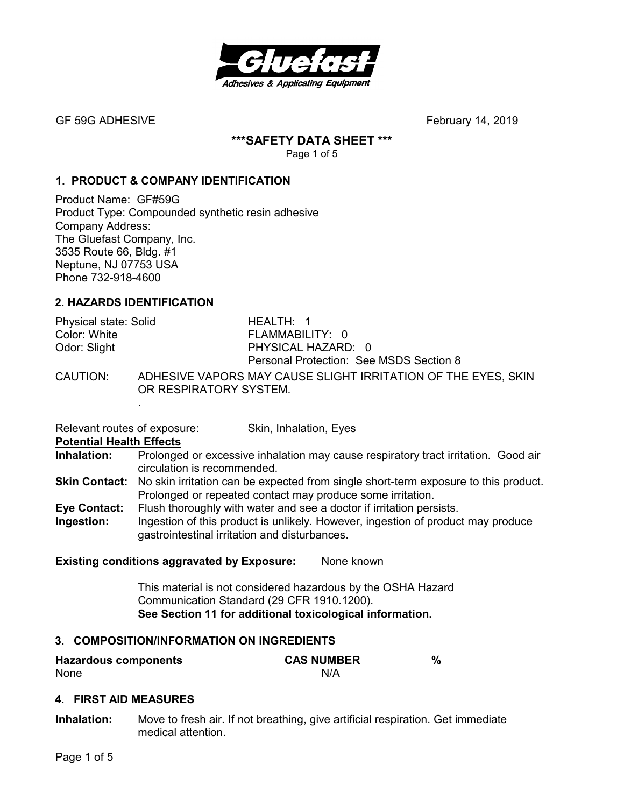

# **\*\*\*SAFETY DATA SHEET \*\*\***

Page 1 of 5

# **1. PRODUCT & COMPANY IDENTIFICATION**

Product Name: GF#59G Product Type: Compounded synthetic resin adhesive Company Address: The Gluefast Company, Inc. 3535 Route 66, Bldg. #1 Neptune, NJ 07753 USA Phone 732-918-4600

# **2. HAZARDS IDENTIFICATION**

| Physical state: Solid<br>Color: White | HEALTH: 1<br>FLAMMABILITY: 0            |
|---------------------------------------|-----------------------------------------|
| Odor: Slight                          | PHYSICAL HAZARD: 0                      |
|                                       | Personal Protection: See MSDS Section 8 |
|                                       |                                         |

CAUTION: ADHESIVE VAPORS MAY CAUSE SLIGHT IRRITATION OF THE EYES, SKIN OR RESPIRATORY SYSTEM.

Relevant routes of exposure: Skin, Inhalation, Eyes

#### **Potential Health Effects**

.

- **Inhalation:** Prolonged or excessive inhalation may cause respiratory tract irritation. Good air circulation is recommended.
- **Skin Contact:** No skin irritation can be expected from single short-term exposure to this product. Prolonged or repeated contact may produce some irritation.
- **Eye Contact:** Flush thoroughly with water and see a doctor if irritation persists.
- **Ingestion:** Ingestion of this product is unlikely. However, ingestion of product may produce gastrointestinal irritation and disturbances.

**Existing conditions aggravated by Exposure:** None known

This material is not considered hazardous by the OSHA Hazard Communication Standard (29 CFR 1910.1200). **See Section 11 for additional toxicological information.** 

# **3. COMPOSITION/INFORMATION ON INGREDIENTS**

| <b>Hazardous components</b> | <b>CAS NUMBER</b> |  |
|-----------------------------|-------------------|--|
| None                        | N/A               |  |

#### **4. FIRST AID MEASURES**

**Inhalation:** Move to fresh air. If not breathing, give artificial respiration. Get immediate medical attention.

Page 1 of 5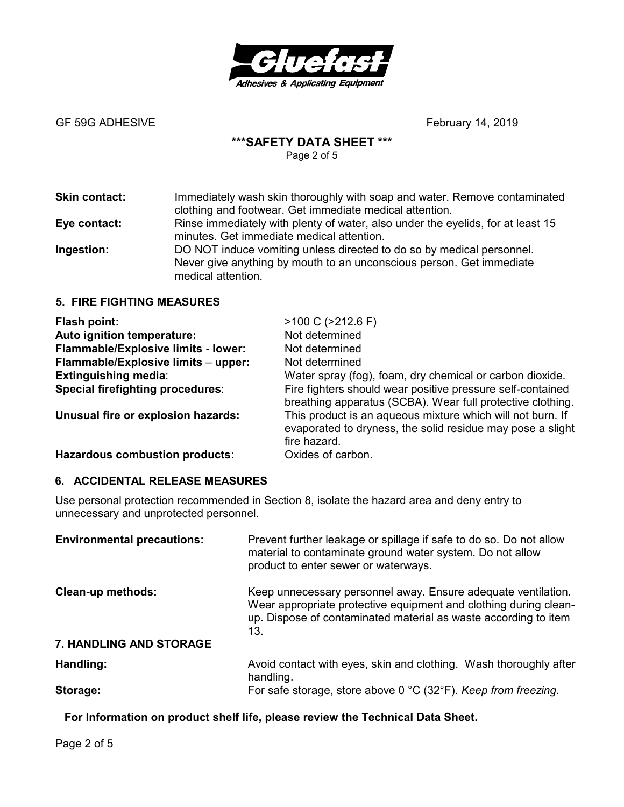

# **\*\*\*SAFETY DATA SHEET \*\*\***

Page 2 of 5

| <b>Skin contact:</b> | Immediately wash skin thoroughly with soap and water. Remove contaminated<br>clothing and footwear. Get immediate medical attention.                                |
|----------------------|---------------------------------------------------------------------------------------------------------------------------------------------------------------------|
| Eye contact:         | Rinse immediately with plenty of water, also under the eyelids, for at least 15<br>minutes. Get immediate medical attention.                                        |
| Ingestion:           | DO NOT induce vomiting unless directed to do so by medical personnel.<br>Never give anything by mouth to an unconscious person. Get immediate<br>medical attention. |

#### **5. FIRE FIGHTING MEASURES**

| Flash point:                               | $>100 C$ ( $>212.6 F$ )                                                                                                                  |
|--------------------------------------------|------------------------------------------------------------------------------------------------------------------------------------------|
| Auto ignition temperature:                 | Not determined                                                                                                                           |
| <b>Flammable/Explosive limits - lower:</b> | Not determined                                                                                                                           |
| Flammable/Explosive limits - upper:        | Not determined                                                                                                                           |
| <b>Extinguishing media:</b>                | Water spray (fog), foam, dry chemical or carbon dioxide.                                                                                 |
| Special firefighting procedures:           | Fire fighters should wear positive pressure self-contained<br>breathing apparatus (SCBA). Wear full protective clothing.                 |
| Unusual fire or explosion hazards:         | This product is an aqueous mixture which will not burn. If<br>evaporated to dryness, the solid residue may pose a slight<br>fire hazard. |
| <b>Hazardous combustion products:</b>      | Oxides of carbon.                                                                                                                        |

# **6. ACCIDENTAL RELEASE MEASURES**

Use personal protection recommended in Section 8, isolate the hazard area and deny entry to unnecessary and unprotected personnel.

| <b>Environmental precautions:</b> | Prevent further leakage or spillage if safe to do so. Do not allow<br>material to contaminate ground water system. Do not allow<br>product to enter sewer or waterways.                                     |
|-----------------------------------|-------------------------------------------------------------------------------------------------------------------------------------------------------------------------------------------------------------|
| <b>Clean-up methods:</b>          | Keep unnecessary personnel away. Ensure adequate ventilation.<br>Wear appropriate protective equipment and clothing during clean-<br>up. Dispose of contaminated material as waste according to item<br>13. |
| 7. HANDLING AND STORAGE           |                                                                                                                                                                                                             |
| Handling:                         | Avoid contact with eyes, skin and clothing. Wash thoroughly after<br>handling.                                                                                                                              |
| Storage:                          | For safe storage, store above 0 °C (32°F). Keep from freezing.                                                                                                                                              |

**For Information on product shelf life, please review the Technical Data Sheet.**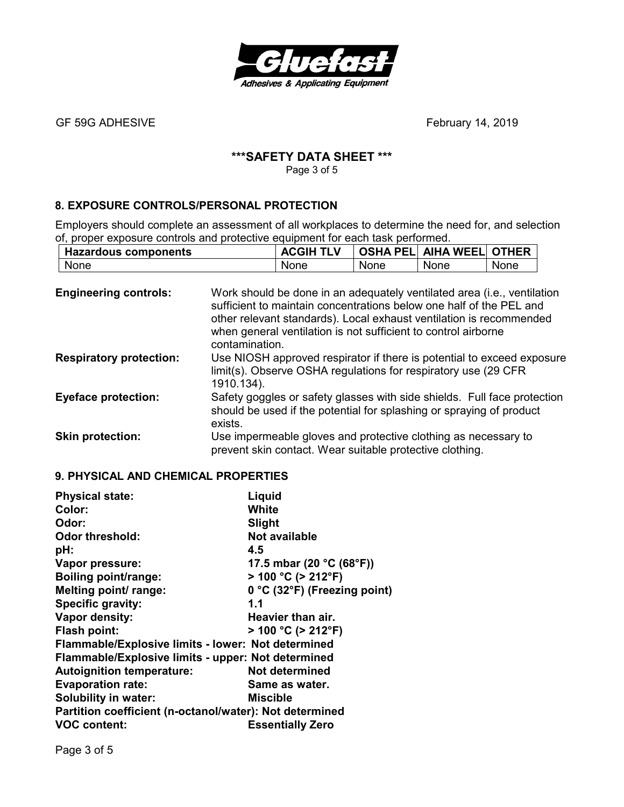

# **\*\*\*SAFETY DATA SHEET \*\*\***

Page 3 of 5

# **8. EXPOSURE CONTROLS/PERSONAL PROTECTION**

Employers should complete an assessment of all workplaces to determine the need for, and selection of, proper exposure controls and protective equipment for each task performed.

| <b>Hazardous components</b> | <b>ACGIH TLV</b> |      | OSHA PEL  AIHA WEEL  OTHER |      |
|-----------------------------|------------------|------|----------------------------|------|
| <b>None</b>                 | None             | None | None                       | None |

| <b>Engineering controls:</b>   | Work should be done in an adequately ventilated area (i.e., ventilation<br>sufficient to maintain concentrations below one half of the PEL and<br>other relevant standards). Local exhaust ventilation is recommended<br>when general ventilation is not sufficient to control airborne<br>contamination. |
|--------------------------------|-----------------------------------------------------------------------------------------------------------------------------------------------------------------------------------------------------------------------------------------------------------------------------------------------------------|
| <b>Respiratory protection:</b> | Use NIOSH approved respirator if there is potential to exceed exposure<br>limit(s). Observe OSHA regulations for respiratory use (29 CFR)<br>1910.134).                                                                                                                                                   |
| <b>Eyeface protection:</b>     | Safety goggles or safety glasses with side shields. Full face protection<br>should be used if the potential for splashing or spraying of product<br>exists.                                                                                                                                               |
| <b>Skin protection:</b>        | Use impermeable gloves and protective clothing as necessary to<br>prevent skin contact. Wear suitable protective clothing.                                                                                                                                                                                |

#### **9. PHYSICAL AND CHEMICAL PROPERTIES**

| <b>Physical state:</b>                                  | Liquid                                        |  |
|---------------------------------------------------------|-----------------------------------------------|--|
| Color:                                                  | White                                         |  |
| Odor:                                                   | Slight                                        |  |
| <b>Odor threshold:</b>                                  | <b>Not available</b>                          |  |
| pH:                                                     | 4.5                                           |  |
| Vapor pressure:                                         | 17.5 mbar (20 $^{\circ}$ C (68 $^{\circ}$ F)) |  |
| <b>Boiling point/range:</b>                             | $> 100 °C$ ( $> 212 °F$ )                     |  |
| Melting point/ range:                                   | 0 °C (32°F) (Freezing point)                  |  |
| Specific gravity:                                       | 1.1                                           |  |
| Vapor density:                                          | Heavier than air.                             |  |
| <b>Flash point:</b>                                     | $>$ 100 °C ( $>$ 212°F)                       |  |
| Flammable/Explosive limits - lower: Not determined      |                                               |  |
| Flammable/Explosive limits - upper: Not determined      |                                               |  |
| <b>Autoignition temperature:</b>                        | Not determined                                |  |
| <b>Evaporation rate:</b>                                | Same as water.                                |  |
| <b>Solubility in water:</b>                             | Miscible                                      |  |
| Partition coefficient (n-octanol/water): Not determined |                                               |  |
| <b>VOC content:</b>                                     | <b>Essentially Zero</b>                       |  |

Page 3 of 5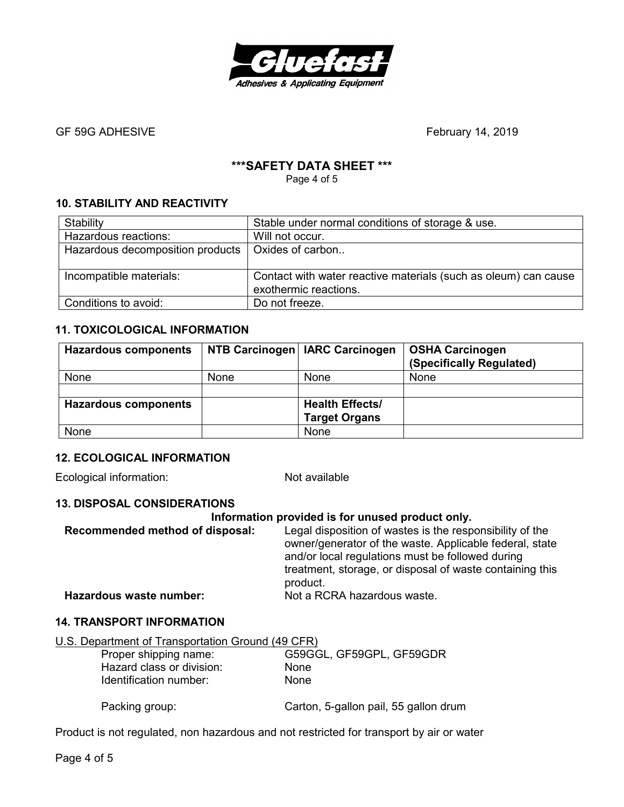

# **\*\*\*SAFETY DATA SHEET \*\*\***

Page 4 of 5

#### **10. STABILITY AND REACTIVITY**

| Stability                        | Stable under normal conditions of storage & use.                |
|----------------------------------|-----------------------------------------------------------------|
| Hazardous reactions:             | Will not occur.                                                 |
| Hazardous decomposition products | Oxides of carbon                                                |
|                                  |                                                                 |
| Incompatible materials:          | Contact with water reactive materials (such as oleum) can cause |
|                                  | exothermic reactions.                                           |
| Conditions to avoid:             | Do not freeze.                                                  |

#### **11. TOXICOLOGICAL INFORMATION**

| <b>Hazardous components</b> |             | NTB Carcinogen   IARC Carcinogen               | <b>OSHA Carcinogen</b><br>(Specifically Regulated) |
|-----------------------------|-------------|------------------------------------------------|----------------------------------------------------|
| None                        | <b>None</b> | None                                           | None                                               |
|                             |             |                                                |                                                    |
| <b>Hazardous components</b> |             | <b>Health Effects/</b><br><b>Target Organs</b> |                                                    |
| None                        |             | None                                           |                                                    |

#### **12. ECOLOGICAL INFORMATION**

Ecological information: Not available

# **13. DISPOSAL CONSIDERATIONS**

| Information provided is for unused product only. |                                                                                                                                                                         |  |
|--------------------------------------------------|-------------------------------------------------------------------------------------------------------------------------------------------------------------------------|--|
| Recommended method of disposal:                  | Legal disposition of wastes is the responsibility of the<br>owner/generator of the waste. Applicable federal, state<br>and/or local regulations must be followed during |  |
|                                                  | treatment, storage, or disposal of waste containing this<br>product.                                                                                                    |  |
| Hazardous waste number:                          | Not a RCRA hazardous waste.                                                                                                                                             |  |

#### **14. TRANSPORT INFORMATION**

| U.S. Department of Transportation Ground (49 CFR) |                                       |
|---------------------------------------------------|---------------------------------------|
| Proper shipping name:                             | G59GGL, GF59GPL, GF59GDR              |
| Hazard class or division:                         | <b>None</b>                           |
| Identification number:                            | <b>None</b>                           |
|                                                   |                                       |
| Packing group:                                    | Carton, 5-gallon pail, 55 gallon drum |

Product is not regulated, non hazardous and not restricted for transport by air or water